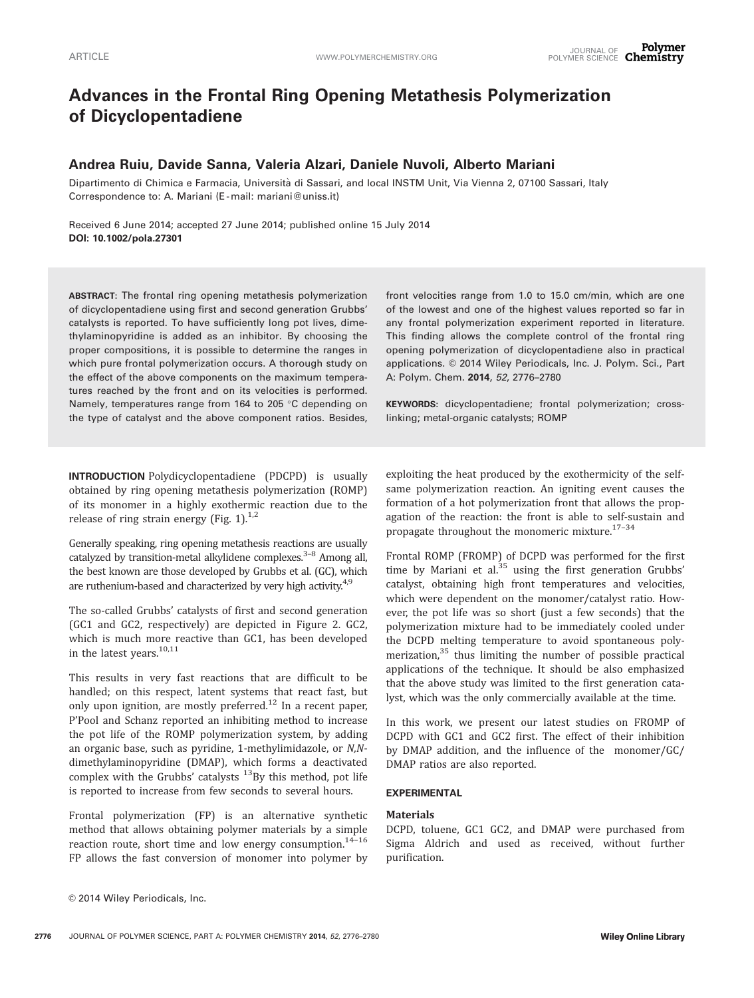# Advances in the Frontal Ring Opening Metathesis Polymerization of Dicyclopentadiene

# Andrea Ruiu, Davide Sanna, Valeria Alzari, Daniele Nuvoli, Alberto Mariani

Dipartimento di Chimica e Farmacia, Università di Sassari, and local INSTM Unit, Via Vienna 2, 07100 Sassari, Italy Correspondence to: A. Mariani (E -mail: mariani@uniss.it)

Received 6 June 2014; accepted 27 June 2014; published online 15 July 2014 DOI: 10.1002/pola.27301

ABSTRACT: The frontal ring opening metathesis polymerization of dicyclopentadiene using first and second generation Grubbs' catalysts is reported. To have sufficiently long pot lives, dimethylaminopyridine is added as an inhibitor. By choosing the proper compositions, it is possible to determine the ranges in which pure frontal polymerization occurs. A thorough study on the effect of the above components on the maximum temperatures reached by the front and on its velocities is performed. Namely, temperatures range from 164 to 205  $\degree$ C depending on the type of catalyst and the above component ratios. Besides, front velocities range from 1.0 to 15.0 cm/min, which are one of the lowest and one of the highest values reported so far in any frontal polymerization experiment reported in literature. This finding allows the complete control of the frontal ring opening polymerization of dicyclopentadiene also in practical applications. © 2014 Wiley Periodicals, Inc. J. Polym. Sci., Part A: Polym. Chem. 2014, 52, 2776–2780

KEYWORDS: dicyclopentadiene; frontal polymerization; crosslinking; metal-organic catalysts; ROMP

INTRODUCTION Polydicyclopentadiene (PDCPD) is usually obtained by ring opening metathesis polymerization (ROMP) of its monomer in a highly exothermic reaction due to the release of ring strain energy (Fig. 1). $^{1,2}$ 

Generally speaking, ring opening metathesis reactions are usually catalyzed by transition-metal alkylidene complexes. $3-8$  Among all, the best known are those developed by Grubbs et al. (GC), which are ruthenium-based and characterized by very high activity.<sup>4,9</sup>

The so-called Grubbs' catalysts of first and second generation (GC1 and GC2, respectively) are depicted in Figure 2. GC2, which is much more reactive than GC1, has been developed in the latest years. $10,11$ 

This results in very fast reactions that are difficult to be handled; on this respect, latent systems that react fast, but only upon ignition, are mostly preferred.<sup>12</sup> In a recent paper, P'Pool and Schanz reported an inhibiting method to increase the pot life of the ROMP polymerization system, by adding an organic base, such as pyridine, 1-methylimidazole, or N,Ndimethylaminopyridine (DMAP), which forms a deactivated complex with the Grubbs' catalysts  $^{13}$ By this method, pot life is reported to increase from few seconds to several hours.

Frontal polymerization (FP) is an alternative synthetic method that allows obtaining polymer materials by a simple reaction route, short time and low energy consumption.<sup>14-16</sup> FP allows the fast conversion of monomer into polymer by

exploiting the heat produced by the exothermicity of the selfsame polymerization reaction. An igniting event causes the formation of a hot polymerization front that allows the propagation of the reaction: the front is able to self-sustain and propagate throughout the monomeric mixture. $^{17-34}$ 

Frontal ROMP (FROMP) of DCPD was performed for the first time by Mariani et al. $35$  using the first generation Grubbs' catalyst, obtaining high front temperatures and velocities, which were dependent on the monomer/catalyst ratio. However, the pot life was so short (just a few seconds) that the polymerization mixture had to be immediately cooled under the DCPD melting temperature to avoid spontaneous polymerization,<sup>35</sup> thus limiting the number of possible practical applications of the technique. It should be also emphasized that the above study was limited to the first generation catalyst, which was the only commercially available at the time.

In this work, we present our latest studies on FROMP of DCPD with GC1 and GC2 first. The effect of their inhibition by DMAP addition, and the influence of the monomer/GC/ DMAP ratios are also reported.

### EXPERIMENTAL

#### **Materials**

DCPD, toluene, GC1 GC2, and DMAP were purchased from Sigma Aldrich and used as received, without further purification.

 $©$  2014 Wiley Periodicals, Inc.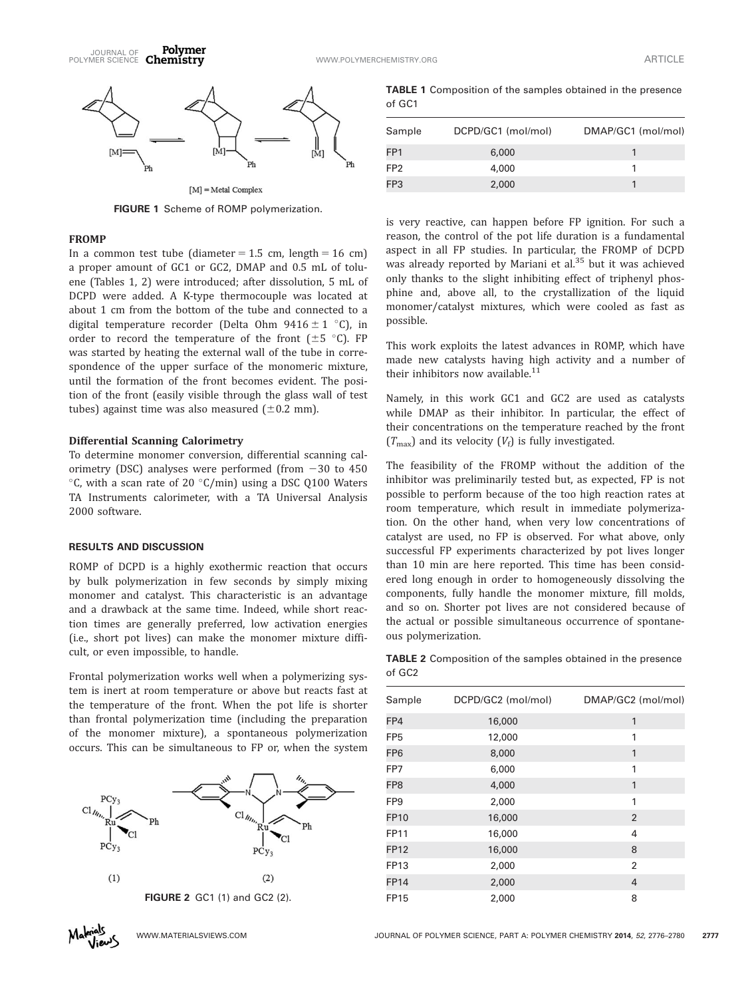

FIGURE 1 Scheme of ROMP polymerization.

#### FROMP

In a common test tube (diameter  $= 1.5$  cm, length  $= 16$  cm) a proper amount of GC1 or GC2, DMAP and 0.5 mL of toluene (Tables 1, 2) were introduced; after dissolution, 5 mL of DCPD were added. A K-type thermocouple was located at about 1 cm from the bottom of the tube and connected to a digital temperature recorder (Delta Ohm  $9416 \pm 1$  °C), in order to record the temperature of the front  $(\pm 5 \degree C)$ . FP was started by heating the external wall of the tube in correspondence of the upper surface of the monomeric mixture, until the formation of the front becomes evident. The position of the front (easily visible through the glass wall of test tubes) against time was also measured  $(\pm 0.2 \text{ mm})$ .

#### Differential Scanning Calorimetry

To determine monomer conversion, differential scanning calorimetry (DSC) analyses were performed (from  $-30$  to 450  $\rm{^{\circ}C}$ , with a scan rate of 20  $\rm{^{\circ}C/min)}$  using a DSC Q100 Waters TA Instruments calorimeter, with a TA Universal Analysis 2000 software.

# RESULTS AND DISCUSSION

ROMP of DCPD is a highly exothermic reaction that occurs by bulk polymerization in few seconds by simply mixing monomer and catalyst. This characteristic is an advantage and a drawback at the same time. Indeed, while short reaction times are generally preferred, low activation energies (i.e., short pot lives) can make the monomer mixture difficult, or even impossible, to handle.

Frontal polymerization works well when a polymerizing system is inert at room temperature or above but reacts fast at the temperature of the front. When the pot life is shorter than frontal polymerization time (including the preparation of the monomer mixture), a spontaneous polymerization occurs. This can be simultaneous to FP or, when the system



TABLE 1 Composition of the samples obtained in the presence of GC1

| Sample          | DCPD/GC1 (mol/mol) | DMAP/GC1 (mol/mol) |
|-----------------|--------------------|--------------------|
| FP <sub>1</sub> | 6,000              |                    |
| FP <sub>2</sub> | 4,000              |                    |
| FP3             | 2,000              |                    |
|                 |                    |                    |

is very reactive, can happen before FP ignition. For such a reason, the control of the pot life duration is a fundamental aspect in all FP studies. In particular, the FROMP of DCPD was already reported by Mariani et al.<sup>35</sup> but it was achieved only thanks to the slight inhibiting effect of triphenyl phosphine and, above all, to the crystallization of the liquid monomer/catalyst mixtures, which were cooled as fast as possible.

This work exploits the latest advances in ROMP, which have made new catalysts having high activity and a number of their inhibitors now available.<sup>11</sup>

Namely, in this work GC1 and GC2 are used as catalysts while DMAP as their inhibitor. In particular, the effect of their concentrations on the temperature reached by the front  $(T_{\text{max}})$  and its velocity  $(V_f)$  is fully investigated.

The feasibility of the FROMP without the addition of the inhibitor was preliminarily tested but, as expected, FP is not possible to perform because of the too high reaction rates at room temperature, which result in immediate polymerization. On the other hand, when very low concentrations of catalyst are used, no FP is observed. For what above, only successful FP experiments characterized by pot lives longer than 10 min are here reported. This time has been considered long enough in order to homogeneously dissolving the components, fully handle the monomer mixture, fill molds, and so on. Shorter pot lives are not considered because of the actual or possible simultaneous occurrence of spontaneous polymerization.

TABLE 2 Composition of the samples obtained in the presence of GC2

| Sample          | DCPD/GC2 (mol/mol)<br>DMAP/GC2 (mol/mol) |                |  |
|-----------------|------------------------------------------|----------------|--|
| FP4             | 16,000                                   | 1              |  |
| FP <sub>5</sub> | 12,000                                   | 1              |  |
| FP <sub>6</sub> | 8,000                                    | 1              |  |
| FP7             | 6,000                                    | 1              |  |
| FP <sub>8</sub> | 4,000                                    | 1              |  |
| FP <sub>9</sub> | 2,000                                    | 1              |  |
| <b>FP10</b>     | 16,000                                   | $\overline{2}$ |  |
| FP11            | 16,000                                   | 4              |  |
| <b>FP12</b>     | 16,000                                   | 8              |  |
| FP13            | 2,000                                    | $\overline{2}$ |  |
| <b>FP14</b>     | 2,000                                    | 4              |  |
| <b>FP15</b>     | 2,000                                    | 8              |  |
|                 |                                          |                |  |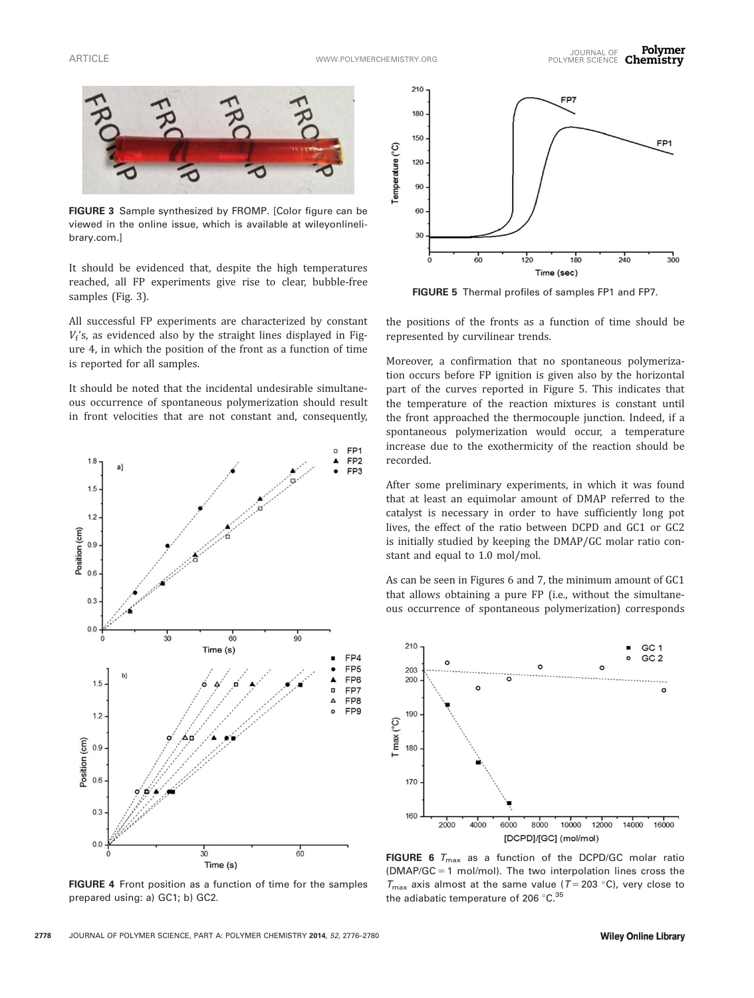

FIGURE 3 Sample synthesized by FROMP. [Color figure can be viewed in the online issue, which is available at [wileyonlineli](http://wileyonlinelibrary.com)[brary.com.](http://wileyonlinelibrary.com)]

It should be evidenced that, despite the high temperatures reached, all FP experiments give rise to clear, bubble-free samples (Fig. 3).

All successful FP experiments are characterized by constant  $V_f$ 's, as evidenced also by the straight lines displayed in Figure 4, in which the position of the front as a function of time is reported for all samples.

It should be noted that the incidental undesirable simultaneous occurrence of spontaneous polymerization should result in front velocities that are not constant and, consequently,



FIGURE 4 Front position as a function of time for the samples prepared using: a) GC1; b) GC2.



FIGURE 5 Thermal profiles of samples FP1 and FP7.

the positions of the fronts as a function of time should be represented by curvilinear trends.

Moreover, a confirmation that no spontaneous polymerization occurs before FP ignition is given also by the horizontal part of the curves reported in Figure 5. This indicates that the temperature of the reaction mixtures is constant until the front approached the thermocouple junction. Indeed, if a spontaneous polymerization would occur, a temperature increase due to the exothermicity of the reaction should be recorded.

After some preliminary experiments, in which it was found that at least an equimolar amount of DMAP referred to the catalyst is necessary in order to have sufficiently long pot lives, the effect of the ratio between DCPD and GC1 or GC2 is initially studied by keeping the DMAP/GC molar ratio constant and equal to 1.0 mol/mol.

As can be seen in Figures 6 and 7, the minimum amount of GC1 that allows obtaining a pure FP (i.e., without the simultaneous occurrence of spontaneous polymerization) corresponds



FIGURE 6  $T_{\text{max}}$  as a function of the DCPD/GC molar ratio  $(DMAP/GC = 1 mol/mol)$ . The two interpolation lines cross the  $T_{\text{max}}$  axis almost at the same value (T = 203 °C), very close to the adiabatic temperature of 206  $^{\circ}$ C. $^{35}$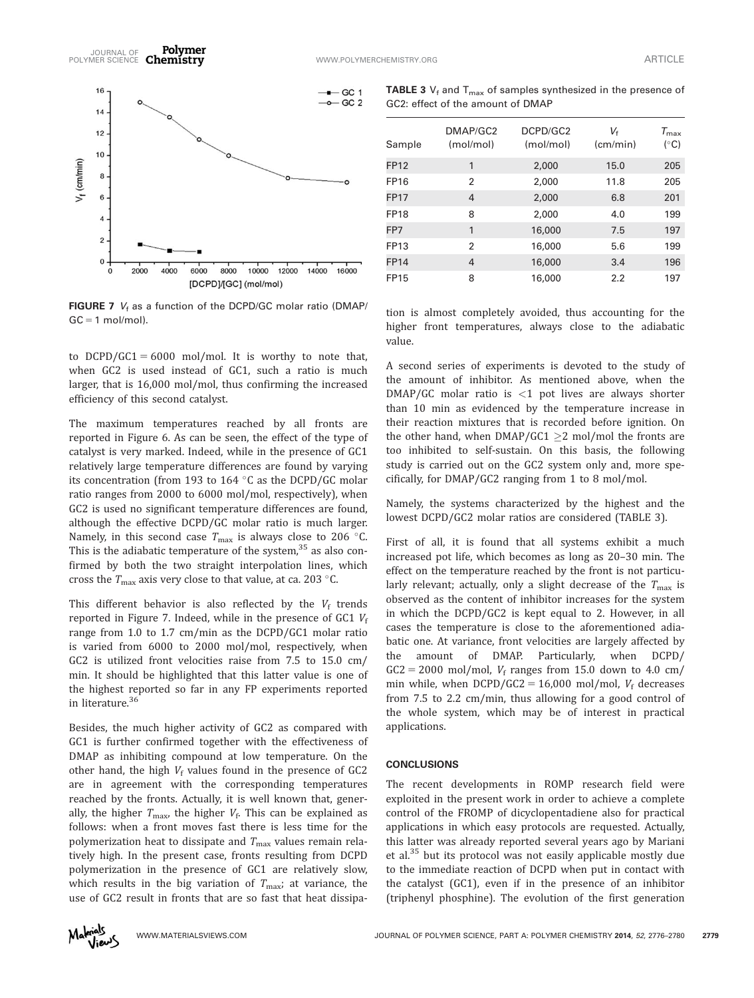

FIGURE 7  $V_f$  as a function of the DCPD/GC molar ratio (DMAP/  $GC = 1$  mol/mol).

to DCPD/GC1 = 6000 mol/mol. It is worthy to note that, when GC2 is used instead of GC1, such a ratio is much larger, that is 16,000 mol/mol, thus confirming the increased efficiency of this second catalyst.

The maximum temperatures reached by all fronts are reported in Figure 6. As can be seen, the effect of the type of catalyst is very marked. Indeed, while in the presence of GC1 relatively large temperature differences are found by varying its concentration (from 193 to 164  $\degree$ C as the DCPD/GC molar ratio ranges from 2000 to 6000 mol/mol, respectively), when GC2 is used no significant temperature differences are found, although the effective DCPD/GC molar ratio is much larger. Namely, in this second case  $T_{\text{max}}$  is always close to 206 °C. This is the adiabatic temperature of the system, $35$  as also confirmed by both the two straight interpolation lines, which cross the  $T_{\rm max}$  axis very close to that value, at ca. 203 °C.

This different behavior is also reflected by the  $V_f$  trends reported in Figure 7. Indeed, while in the presence of GC1  $V_f$ range from 1.0 to 1.7 cm/min as the DCPD/GC1 molar ratio is varied from 6000 to 2000 mol/mol, respectively, when GC2 is utilized front velocities raise from 7.5 to 15.0 cm/ min. It should be highlighted that this latter value is one of the highest reported so far in any FP experiments reported in literature.<sup>36</sup>

Besides, the much higher activity of GC2 as compared with GC1 is further confirmed together with the effectiveness of DMAP as inhibiting compound at low temperature. On the other hand, the high  $V_f$  values found in the presence of GC2 are in agreement with the corresponding temperatures reached by the fronts. Actually, it is well known that, generally, the higher  $T_{\text{max}}$ , the higher  $V_f$ . This can be explained as follows: when a front moves fast there is less time for the polymerization heat to dissipate and  $T_{\text{max}}$  values remain relatively high. In the present case, fronts resulting from DCPD polymerization in the presence of GC1 are relatively slow, which results in the big variation of  $T_{\text{max}}$ ; at variance, the use of GC2 result in fronts that are so fast that heat dissipa-

**TABLE 3**  $V_f$  and  $T_{max}$  of samples synthesized in the presence of GC2: effect of the amount of DMAP

| Sample      | DMAP/GC2<br>(mol/mol) | DCPD/GC2<br>(mol/mol) | Vғ<br>(cm/min) | $T_{\sf max}$<br>$(^\circ C)$ |
|-------------|-----------------------|-----------------------|----------------|-------------------------------|
| <b>FP12</b> | 1                     | 2,000                 | 15.0           | 205                           |
| FP16        | 2                     | 2,000                 | 11.8           | 205                           |
| <b>FP17</b> | 4                     | 2,000                 | 6.8            | 201                           |
| <b>FP18</b> | 8                     | 2,000                 | 4.0            | 199                           |
| FP7         | 1                     | 16,000                | 7.5            | 197                           |
| FP13        | $\mathfrak{p}$        | 16,000                | 5.6            | 199                           |
| <b>FP14</b> | 4                     | 16,000                | 3.4            | 196                           |
| <b>FP15</b> | 8                     | 16,000                | 2.2            | 197                           |

tion is almost completely avoided, thus accounting for the higher front temperatures, always close to the adiabatic value.

A second series of experiments is devoted to the study of the amount of inhibitor. As mentioned above, when the  $DMAP/GC$  molar ratio is  $\lt 1$  pot lives are always shorter than 10 min as evidenced by the temperature increase in their reaction mixtures that is recorded before ignition. On the other hand, when DMAP/GC1  $\geq$ 2 mol/mol the fronts are too inhibited to self-sustain. On this basis, the following study is carried out on the GC2 system only and, more specifically, for DMAP/GC2 ranging from 1 to 8 mol/mol.

Namely, the systems characterized by the highest and the lowest DCPD/GC2 molar ratios are considered (TABLE 3).

First of all, it is found that all systems exhibit a much increased pot life, which becomes as long as 20–30 min. The effect on the temperature reached by the front is not particularly relevant; actually, only a slight decrease of the  $T_{\text{max}}$  is observed as the content of inhibitor increases for the system in which the DCPD/GC2 is kept equal to 2. However, in all cases the temperature is close to the aforementioned adiabatic one. At variance, front velocities are largely affected by the amount of DMAP. Particularly, when DCPD/  $GC2 = 2000$  mol/mol,  $V_f$  ranges from 15.0 down to 4.0 cm/ min while, when  $DCPD/GC2 = 16,000 \text{ mol/mol}$ ,  $V_f$  decreases from 7.5 to 2.2 cm/min, thus allowing for a good control of the whole system, which may be of interest in practical applications.

#### **CONCLUSIONS**

The recent developments in ROMP research field were exploited in the present work in order to achieve a complete control of the FROMP of dicyclopentadiene also for practical applications in which easy protocols are requested. Actually, this latter was already reported several years ago by Mariani et al.<sup>35</sup> but its protocol was not easily applicable mostly due to the immediate reaction of DCPD when put in contact with the catalyst (GC1), even if in the presence of an inhibitor (triphenyl phosphine). The evolution of the first generation